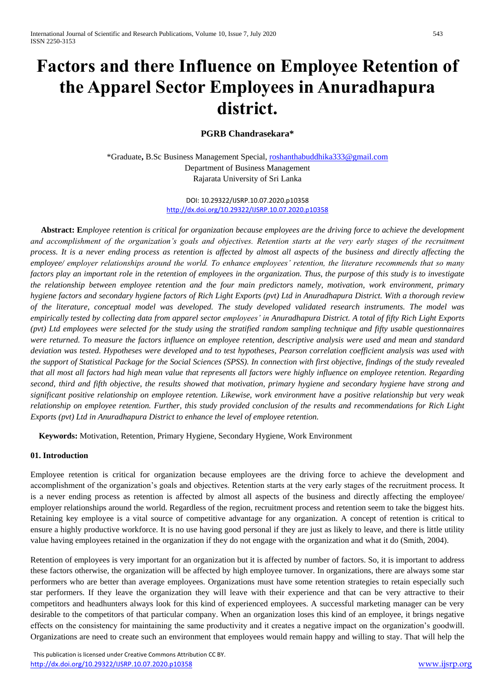# **Factors and there Influence on Employee Retention of the Apparel Sector Employees in Anuradhapura district.**

# **PGRB Chandrasekara\***

\*Graduate**,** B.Sc Business Management Special, [roshanthabuddhika333@gmail.com](mailto:roshanthabuddhika333@gmail.com) Department of Business Management Rajarata University of Sri Lanka

> DOI: 10.29322/IJSRP.10.07.2020.p10358 <http://dx.doi.org/10.29322/IJSRP.10.07.2020.p10358>

 **Abstract: E***mployee retention is critical for organization because employees are the driving force to achieve the development and accomplishment of the organization's goals and objectives. Retention starts at the very early stages of the recruitment process. It is a never ending process as retention is affected by almost all aspects of the business and directly affecting the employee/ employer relationships around the world. To enhance employees' retention, the literature recommends that so many factors play an important role in the retention of employees in the organization. Thus, the purpose of this study is to investigate the relationship between employee retention and the four main predictors namely, motivation, work environment, primary hygiene factors and secondary hygiene factors of Rich Light Exports (pvt) Ltd in Anuradhapura District. With a thorough review of the literature, conceptual model was developed. The study developed validated research instruments. The model was empirically tested by collecting data from apparel sector employees' in Anuradhapura District. A total of fifty Rich Light Exports (pvt) Ltd employees were selected for the study using the stratified random sampling technique and fifty usable questionnaires were returned. To measure the factors influence on employee retention, descriptive analysis were used and mean and standard deviation was tested. Hypotheses were developed and to test hypotheses, Pearson correlation coefficient analysis was used with the support of Statistical Package for the Social Sciences (SPSS). In connection with first objective, findings of the study revealed that all most all factors had high mean value that represents all factors were highly influence on employee retention. Regarding second, third and fifth objective, the results showed that motivation, primary hygiene and secondary hygiene have strong and significant positive relationship on employee retention. Likewise, work environment have a positive relationship but very weak relationship on employee retention. Further, this study provided conclusion of the results and recommendations for Rich Light Exports (pvt) Ltd in Anuradhapura District to enhance the level of employee retention.* 

 **Keywords:** Motivation, Retention, Primary Hygiene, Secondary Hygiene, Work Environment

#### **01. Introduction**

Employee retention is critical for organization because employees are the driving force to achieve the development and accomplishment of the organization's goals and objectives. Retention starts at the very early stages of the recruitment process. It is a never ending process as retention is affected by almost all aspects of the business and directly affecting the employee/ employer relationships around the world. Regardless of the region, recruitment process and retention seem to take the biggest hits. Retaining key employee is a vital source of competitive advantage for any organization. A concept of retention is critical to ensure a highly productive workforce. It is no use having good personal if they are just as likely to leave, and there is little utility value having employees retained in the organization if they do not engage with the organization and what it do (Smith, 2004).

Retention of employees is very important for an organization but it is affected by number of factors. So, it is important to address these factors otherwise, the organization will be affected by high employee turnover. In organizations, there are always some star performers who are better than average employees. Organizations must have some retention strategies to retain especially such star performers. If they leave the organization they will leave with their experience and that can be very attractive to their competitors and headhunters always look for this kind of experienced employees. A successful marketing manager can be very desirable to the competitors of that particular company. When an organization loses this kind of an employee, it brings negative effects on the consistency for maintaining the same productivity and it creates a negative impact on the organization's goodwill. Organizations are need to create such an environment that employees would remain happy and willing to stay. That will help the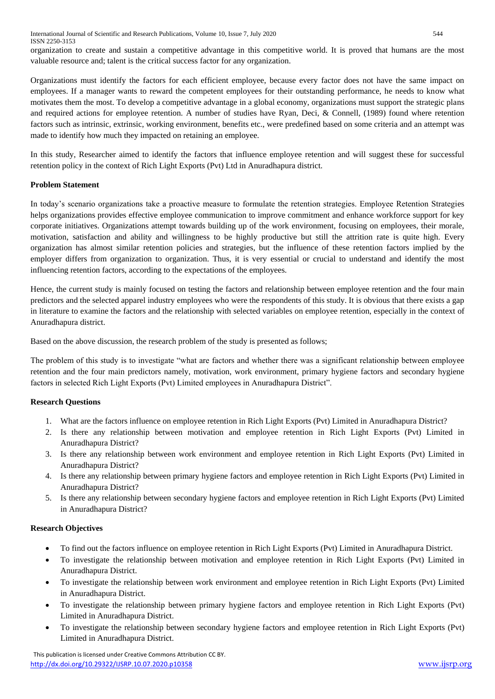International Journal of Scientific and Research Publications, Volume 10, Issue 7, July 2020 544 ISSN 2250-3153

organization to create and sustain a competitive advantage in this competitive world. It is proved that humans are the most valuable resource and; talent is the critical success factor for any organization.

Organizations must identify the factors for each efficient employee, because every factor does not have the same impact on employees. If a manager wants to reward the competent employees for their outstanding performance, he needs to know what motivates them the most. To develop a competitive advantage in a global economy, organizations must support the strategic plans and required actions for employee retention. A number of studies have Ryan, Deci, & Connell, (1989) found where retention factors such as intrinsic, extrinsic, working environment, benefits etc., were predefined based on some criteria and an attempt was made to identify how much they impacted on retaining an employee.

In this study, Researcher aimed to identify the factors that influence employee retention and will suggest these for successful retention policy in the context of Rich Light Exports (Pvt) Ltd in Anuradhapura district.

## **Problem Statement**

In today's scenario organizations take a proactive measure to formulate the retention strategies. Employee Retention Strategies helps organizations provides effective employee communication to improve commitment and enhance workforce support for key corporate initiatives. Organizations attempt towards building up of the work environment, focusing on employees, their morale, motivation, satisfaction and ability and willingness to be highly productive but still the attrition rate is quite high. Every organization has almost similar retention policies and strategies, but the influence of these retention factors implied by the employer differs from organization to organization. Thus, it is very essential or crucial to understand and identify the most influencing retention factors, according to the expectations of the employees.

Hence, the current study is mainly focused on testing the factors and relationship between employee retention and the four main predictors and the selected apparel industry employees who were the respondents of this study. It is obvious that there exists a gap in literature to examine the factors and the relationship with selected variables on employee retention, especially in the context of Anuradhapura district.

Based on the above discussion, the research problem of the study is presented as follows;

The problem of this study is to investigate "what are factors and whether there was a significant relationship between employee retention and the four main predictors namely, motivation, work environment, primary hygiene factors and secondary hygiene factors in selected Rich Light Exports (Pvt) Limited employees in Anuradhapura District".

# **Research Questions**

- 1. What are the factors influence on employee retention in Rich Light Exports (Pvt) Limited in Anuradhapura District?
- 2. Is there any relationship between motivation and employee retention in Rich Light Exports (Pvt) Limited in Anuradhapura District?
- 3. Is there any relationship between work environment and employee retention in Rich Light Exports (Pvt) Limited in Anuradhapura District?
- 4. Is there any relationship between primary hygiene factors and employee retention in Rich Light Exports (Pvt) Limited in Anuradhapura District?
- 5. Is there any relationship between secondary hygiene factors and employee retention in Rich Light Exports (Pvt) Limited in Anuradhapura District?

#### **Research Objectives**

- To find out the factors influence on employee retention in Rich Light Exports (Pvt) Limited in Anuradhapura District.
- To investigate the relationship between motivation and employee retention in Rich Light Exports (Pvt) Limited in Anuradhapura District.
- To investigate the relationship between work environment and employee retention in Rich Light Exports (Pvt) Limited in Anuradhapura District.
- To investigate the relationship between primary hygiene factors and employee retention in Rich Light Exports (Pvt) Limited in Anuradhapura District.
- To investigate the relationship between secondary hygiene factors and employee retention in Rich Light Exports (Pvt) Limited in Anuradhapura District.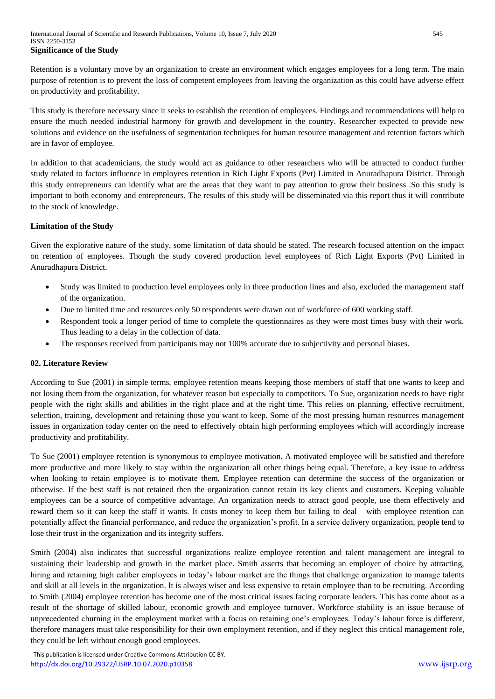Retention is a voluntary move by an organization to create an environment which engages employees for a long term. The main purpose of retention is to prevent the loss of competent employees from leaving the organization as this could have adverse effect on productivity and profitability.

This study is therefore necessary since it seeks to establish the retention of employees. Findings and recommendations will help to ensure the much needed industrial harmony for growth and development in the country. Researcher expected to provide new solutions and evidence on the usefulness of segmentation techniques for human resource management and retention factors which are in favor of employee.

In addition to that academicians, the study would act as guidance to other researchers who will be attracted to conduct further study related to factors influence in employees retention in Rich Light Exports (Pvt) Limited in Anuradhapura District. Through this study entrepreneurs can identify what are the areas that they want to pay attention to grow their business .So this study is important to both economy and entrepreneurs. The results of this study will be disseminated via this report thus it will contribute to the stock of knowledge.

## **Limitation of the Study**

Given the explorative nature of the study, some limitation of data should be stated. The research focused attention on the impact on retention of employees. Though the study covered production level employees of Rich Light Exports (Pvt) Limited in Anuradhapura District.

- Study was limited to production level employees only in three production lines and also, excluded the management staff of the organization.
- Due to limited time and resources only 50 respondents were drawn out of workforce of 600 working staff.
- Respondent took a longer period of time to complete the questionnaires as they were most times busy with their work. Thus leading to a delay in the collection of data.
- The responses received from participants may not 100% accurate due to subjectivity and personal biases.

#### **02. Literature Review**

According to Sue (2001) in simple terms, employee retention means keeping those members of staff that one wants to keep and not losing them from the organization, for whatever reason but especially to competitors. To Sue, organization needs to have right people with the right skills and abilities in the right place and at the right time. This relies on planning, effective recruitment, selection, training, development and retaining those you want to keep. Some of the most pressing human resources management issues in organization today center on the need to effectively obtain high performing employees which will accordingly increase productivity and profitability.

To Sue (2001) employee retention is synonymous to employee motivation. A motivated employee will be satisfied and therefore more productive and more likely to stay within the organization all other things being equal. Therefore, a key issue to address when looking to retain employee is to motivate them. Employee retention can determine the success of the organization or otherwise. If the best staff is not retained then the organization cannot retain its key clients and customers. Keeping valuable employees can be a source of competitive advantage. An organization needs to attract good people, use them effectively and reward them so it can keep the staff it wants. It costs money to keep them but failing to deal with employee retention can potentially affect the financial performance, and reduce the organization's profit. In a service delivery organization, people tend to lose their trust in the organization and its integrity suffers.

Smith (2004) also indicates that successful organizations realize employee retention and talent management are integral to sustaining their leadership and growth in the market place. Smith asserts that becoming an employer of choice by attracting, hiring and retaining high caliber employees in today's labour market are the things that challenge organization to manage talents and skill at all levels in the organization. It is always wiser and less expensive to retain employee than to be recruiting. According to Smith (2004) employee retention has become one of the most critical issues facing corporate leaders. This has come about as a result of the shortage of skilled labour, economic growth and employee turnover. Workforce stability is an issue because of unprecedented churning in the employment market with a focus on retaining one's employees. Today's labour force is different, therefore managers must take responsibility for their own employment retention, and if they neglect this critical management role, they could be left without enough good employees.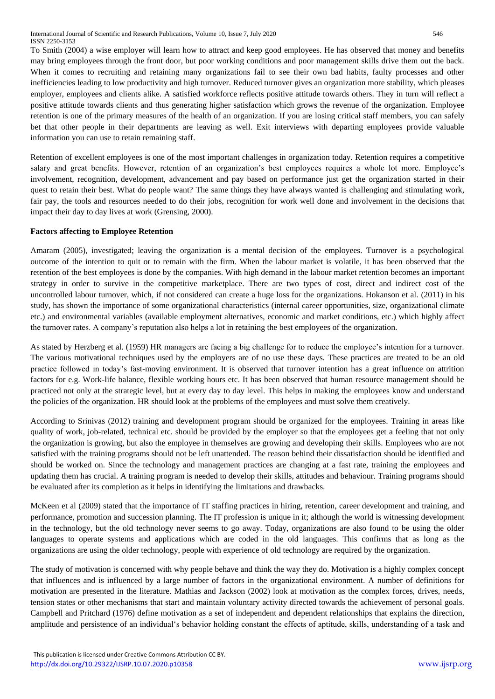To Smith (2004) a wise employer will learn how to attract and keep good employees. He has observed that money and benefits may bring employees through the front door, but poor working conditions and poor management skills drive them out the back. When it comes to recruiting and retaining many organizations fail to see their own bad habits, faulty processes and other inefficiencies leading to low productivity and high turnover. Reduced turnover gives an organization more stability, which pleases employer, employees and clients alike. A satisfied workforce reflects positive attitude towards others. They in turn will reflect a positive attitude towards clients and thus generating higher satisfaction which grows the revenue of the organization. Employee retention is one of the primary measures of the health of an organization. If you are losing critical staff members, you can safely bet that other people in their departments are leaving as well. Exit interviews with departing employees provide valuable information you can use to retain remaining staff.

Retention of excellent employees is one of the most important challenges in organization today. Retention requires a competitive salary and great benefits. However, retention of an organization's best employees requires a whole lot more. Employee's involvement, recognition, development, advancement and pay based on performance just get the organization started in their quest to retain their best. What do people want? The same things they have always wanted is challenging and stimulating work, fair pay, the tools and resources needed to do their jobs, recognition for work well done and involvement in the decisions that impact their day to day lives at work (Grensing, 2000).

# **Factors affecting to Employee Retention**

Amaram (2005), investigated; leaving the organization is a mental decision of the employees. Turnover is a psychological outcome of the intention to quit or to remain with the firm. When the labour market is volatile, it has been observed that the retention of the best employees is done by the companies. With high demand in the labour market retention becomes an important strategy in order to survive in the competitive marketplace. There are two types of cost, direct and indirect cost of the uncontrolled labour turnover, which, if not considered can create a huge loss for the organizations. Hokanson et al. (2011) in his study, has shown the importance of some organizational characteristics (internal career opportunities, size, organizational climate etc.) and environmental variables (available employment alternatives, economic and market conditions, etc.) which highly affect the turnover rates. A company's reputation also helps a lot in retaining the best employees of the organization.

As stated by Herzberg et al. (1959) HR managers are facing a big challenge for to reduce the employee's intention for a turnover. The various motivational techniques used by the employers are of no use these days. These practices are treated to be an old practice followed in today's fast-moving environment. It is observed that turnover intention has a great influence on attrition factors for e.g. Work-life balance, flexible working hours etc. It has been observed that human resource management should be practiced not only at the strategic level, but at every day to day level. This helps in making the employees know and understand the policies of the organization. HR should look at the problems of the employees and must solve them creatively.

According to Srinivas (2012) training and development program should be organized for the employees. Training in areas like quality of work, job-related, technical etc. should be provided by the employer so that the employees get a feeling that not only the organization is growing, but also the employee in themselves are growing and developing their skills. Employees who are not satisfied with the training programs should not be left unattended. The reason behind their dissatisfaction should be identified and should be worked on. Since the technology and management practices are changing at a fast rate, training the employees and updating them has crucial. A training program is needed to develop their skills, attitudes and behaviour. Training programs should be evaluated after its completion as it helps in identifying the limitations and drawbacks.

McKeen et al (2009) stated that the importance of IT staffing practices in hiring, retention, career development and training, and performance, promotion and succession planning. The IT profession is unique in it; although the world is witnessing development in the technology, but the old technology never seems to go away. Today, organizations are also found to be using the older languages to operate systems and applications which are coded in the old languages. This confirms that as long as the organizations are using the older technology, people with experience of old technology are required by the organization.

The study of motivation is concerned with why people behave and think the way they do. Motivation is a highly complex concept that influences and is influenced by a large number of factors in the organizational environment. A number of definitions for motivation are presented in the literature. Mathias and Jackson (2002) look at motivation as the complex forces, drives, needs, tension states or other mechanisms that start and maintain voluntary activity directed towards the achievement of personal goals. Campbell and Pritchard (1976) define motivation as a set of independent and dependent relationships that explains the direction, amplitude and persistence of an individual's behavior holding constant the effects of aptitude, skills, understanding of a task and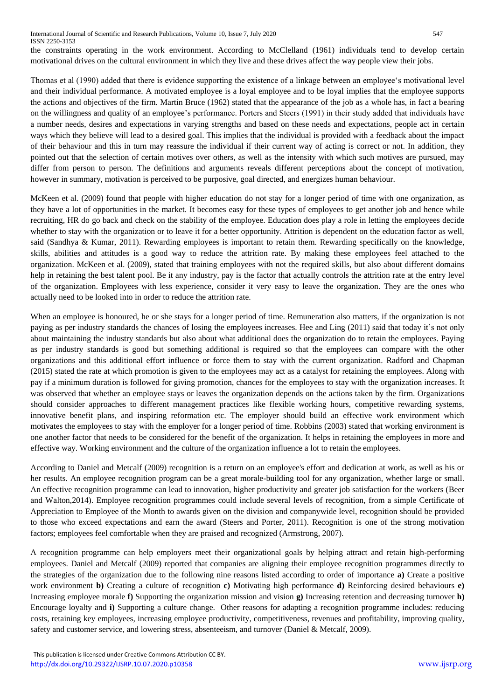the constraints operating in the work environment. According to McClelland (1961) individuals tend to develop certain motivational drives on the cultural environment in which they live and these drives affect the way people view their jobs.

Thomas et al (1990) added that there is evidence supporting the existence of a linkage between an employee's motivational level and their individual performance. A motivated employee is a loyal employee and to be loyal implies that the employee supports the actions and objectives of the firm. Martin Bruce (1962) stated that the appearance of the job as a whole has, in fact a bearing on the willingness and quality of an employee's performance. Porters and Steers (1991) in their study added that individuals have a number needs, desires and expectations in varying strengths and based on these needs and expectations, people act in certain ways which they believe will lead to a desired goal. This implies that the individual is provided with a feedback about the impact of their behaviour and this in turn may reassure the individual if their current way of acting is correct or not. In addition, they pointed out that the selection of certain motives over others, as well as the intensity with which such motives are pursued, may differ from person to person. The definitions and arguments reveals different perceptions about the concept of motivation, however in summary, motivation is perceived to be purposive, goal directed, and energizes human behaviour.

McKeen et al. (2009) found that people with higher education do not stay for a longer period of time with one organization, as they have a lot of opportunities in the market. It becomes easy for these types of employees to get another job and hence while recruiting, HR do go back and check on the stability of the employee. Education does play a role in letting the employees decide whether to stay with the organization or to leave it for a better opportunity. Attrition is dependent on the education factor as well, said (Sandhya & Kumar, 2011). Rewarding employees is important to retain them. Rewarding specifically on the knowledge, skills, abilities and attitudes is a good way to reduce the attrition rate. By making these employees feel attached to the organization. McKeen et al. (2009), stated that training employees with not the required skills, but also about different domains help in retaining the best talent pool. Be it any industry, pay is the factor that actually controls the attrition rate at the entry level of the organization. Employees with less experience, consider it very easy to leave the organization. They are the ones who actually need to be looked into in order to reduce the attrition rate.

When an employee is honoured, he or she stays for a longer period of time. Remuneration also matters, if the organization is not paying as per industry standards the chances of losing the employees increases. Hee and Ling (2011) said that today it's not only about maintaining the industry standards but also about what additional does the organization do to retain the employees. Paying as per industry standards is good but something additional is required so that the employees can compare with the other organizations and this additional effort influence or force them to stay with the current organization. Radford and Chapman (2015) stated the rate at which promotion is given to the employees may act as a catalyst for retaining the employees. Along with pay if a minimum duration is followed for giving promotion, chances for the employees to stay with the organization increases. It was observed that whether an employee stays or leaves the organization depends on the actions taken by the firm. Organizations should consider approaches to different management practices like flexible working hours, competitive rewarding systems, innovative benefit plans, and inspiring reformation etc. The employer should build an effective work environment which motivates the employees to stay with the employer for a longer period of time. Robbins (2003) stated that working environment is one another factor that needs to be considered for the benefit of the organization. It helps in retaining the employees in more and effective way. Working environment and the culture of the organization influence a lot to retain the employees.

According to Daniel and Metcalf (2009) recognition is a return on an employee's effort and dedication at work, as well as his or her results. An employee recognition program can be a great morale-building tool for any organization, whether large or small. An effective recognition programme can lead to innovation, higher productivity and greater job satisfaction for the workers (Beer and Walton,2014). Employee recognition programmes could include several levels of recognition, from a simple Certificate of Appreciation to Employee of the Month to awards given on the division and companywide level, recognition should be provided to those who exceed expectations and earn the award (Steers and Porter, 2011). Recognition is one of the strong motivation factors; employees feel comfortable when they are praised and recognized (Armstrong, 2007).

A recognition programme can help employers meet their organizational goals by helping attract and retain high-performing employees. Daniel and Metcalf (2009) reported that companies are aligning their employee recognition programmes directly to the strategies of the organization due to the following nine reasons listed according to order of importance **a)** Create a positive work environment **b)** Creating a culture of recognition **c)** Motivating high performance **d)** Reinforcing desired behaviours **e)** Increasing employee morale **f)** Supporting the organization mission and vision **g)** Increasing retention and decreasing turnover **h)** Encourage loyalty and **i)** Supporting a culture change. Other reasons for adapting a recognition programme includes: reducing costs, retaining key employees, increasing employee productivity, competitiveness, revenues and profitability, improving quality, safety and customer service, and lowering stress, absenteeism, and turnover (Daniel & Metcalf, 2009).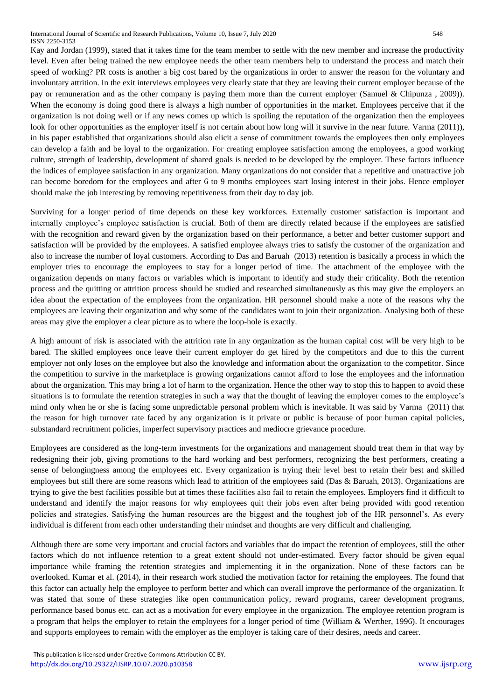Kay and Jordan (1999), stated that it takes time for the team member to settle with the new member and increase the productivity level. Even after being trained the new employee needs the other team members help to understand the process and match their speed of working? PR costs is another a big cost bared by the organizations in order to answer the reason for the voluntary and involuntary attrition. In the exit interviews employees very clearly state that they are leaving their current employer because of the pay or remuneration and as the other company is paying them more than the current employer (Samuel & Chipunza , 2009)). When the economy is doing good there is always a high number of opportunities in the market. Employees perceive that if the organization is not doing well or if any news comes up which is spoiling the reputation of the organization then the employees look for other opportunities as the employer itself is not certain about how long will it survive in the near future. Varma (2011)), in his paper established that organizations should also elicit a sense of commitment towards the employees then only employees can develop a faith and be loyal to the organization. For creating employee satisfaction among the employees, a good working culture, strength of leadership, development of shared goals is needed to be developed by the employer. These factors influence the indices of employee satisfaction in any organization. Many organizations do not consider that a repetitive and unattractive job can become boredom for the employees and after 6 to 9 months employees start losing interest in their jobs. Hence employer should make the job interesting by removing repetitiveness from their day to day job.

Surviving for a longer period of time depends on these key workforces. Externally customer satisfaction is important and internally employee's employee satisfaction is crucial. Both of them are directly related because if the employees are satisfied with the recognition and reward given by the organization based on their performance, a better and better customer support and satisfaction will be provided by the employees. A satisfied employee always tries to satisfy the customer of the organization and also to increase the number of loyal customers. According to Das and Baruah (2013) retention is basically a process in which the employer tries to encourage the employees to stay for a longer period of time. The attachment of the employee with the organization depends on many factors or variables which is important to identify and study their criticality. Both the retention process and the quitting or attrition process should be studied and researched simultaneously as this may give the employers an idea about the expectation of the employees from the organization. HR personnel should make a note of the reasons why the employees are leaving their organization and why some of the candidates want to join their organization. Analysing both of these areas may give the employer a clear picture as to where the loop-hole is exactly.

A high amount of risk is associated with the attrition rate in any organization as the human capital cost will be very high to be bared. The skilled employees once leave their current employer do get hired by the competitors and due to this the current employer not only loses on the employee but also the knowledge and information about the organization to the competitor. Since the competition to survive in the marketplace is growing organizations cannot afford to lose the employees and the information about the organization. This may bring a lot of harm to the organization. Hence the other way to stop this to happen to avoid these situations is to formulate the retention strategies in such a way that the thought of leaving the employer comes to the employee's mind only when he or she is facing some unpredictable personal problem which is inevitable. It was said by Varma (2011) that the reason for high turnover rate faced by any organization is it private or public is because of poor human capital policies, substandard recruitment policies, imperfect supervisory practices and mediocre grievance procedure.

Employees are considered as the long-term investments for the organizations and management should treat them in that way by redesigning their job, giving promotions to the hard working and best performers, recognizing the best performers, creating a sense of belongingness among the employees etc. Every organization is trying their level best to retain their best and skilled employees but still there are some reasons which lead to attrition of the employees said (Das & Baruah, 2013). Organizations are trying to give the best facilities possible but at times these facilities also fail to retain the employees. Employers find it difficult to understand and identify the major reasons for why employees quit their jobs even after being provided with good retention policies and strategies. Satisfying the human resources are the biggest and the toughest job of the HR personnel's. As every individual is different from each other understanding their mindset and thoughts are very difficult and challenging.

Although there are some very important and crucial factors and variables that do impact the retention of employees, still the other factors which do not influence retention to a great extent should not under-estimated. Every factor should be given equal importance while framing the retention strategies and implementing it in the organization. None of these factors can be overlooked. Kumar et al. (2014), in their research work studied the motivation factor for retaining the employees. The found that this factor can actually help the employee to perform better and which can overall improve the performance of the organization. It was stated that some of these strategies like open communication policy, reward programs, career development programs, performance based bonus etc. can act as a motivation for every employee in the organization. The employee retention program is a program that helps the employer to retain the employees for a longer period of time (William & Werther, 1996). It encourages and supports employees to remain with the employer as the employer is taking care of their desires, needs and career.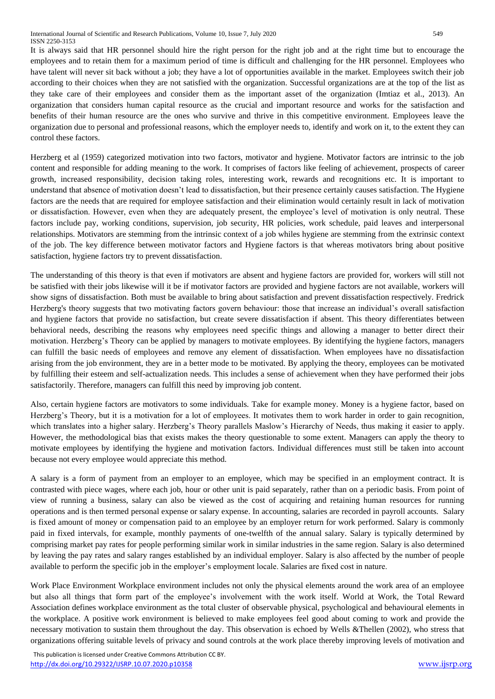It is always said that HR personnel should hire the right person for the right job and at the right time but to encourage the employees and to retain them for a maximum period of time is difficult and challenging for the HR personnel. Employees who have talent will never sit back without a job; they have a lot of opportunities available in the market. Employees switch their job according to their choices when they are not satisfied with the organization. Successful organizations are at the top of the list as they take care of their employees and consider them as the important asset of the organization (Imtiaz et al., 2013). An organization that considers human capital resource as the crucial and important resource and works for the satisfaction and benefits of their human resource are the ones who survive and thrive in this competitive environment. Employees leave the organization due to personal and professional reasons, which the employer needs to, identify and work on it, to the extent they can control these factors.

Herzberg et al (1959) categorized motivation into two factors, motivator and hygiene. Motivator factors are intrinsic to the job content and responsible for adding meaning to the work. It comprises of factors like feeling of achievement, prospects of career growth, increased responsibility, decision taking roles, interesting work, rewards and recognitions etc. It is important to understand that absence of motivation doesn't lead to dissatisfaction, but their presence certainly causes satisfaction. The Hygiene factors are the needs that are required for employee satisfaction and their elimination would certainly result in lack of motivation or dissatisfaction. However, even when they are adequately present, the employee's level of motivation is only neutral. These factors include pay, working conditions, supervision, job security, HR policies, work schedule, paid leaves and interpersonal relationships. Motivators are stemming from the intrinsic context of a job whiles hygiene are stemming from the extrinsic context of the job. The key difference between motivator factors and Hygiene factors is that whereas motivators bring about positive satisfaction, hygiene factors try to prevent dissatisfaction.

The understanding of this theory is that even if motivators are absent and hygiene factors are provided for, workers will still not be satisfied with their jobs likewise will it be if motivator factors are provided and hygiene factors are not available, workers will show signs of dissatisfaction. Both must be available to bring about satisfaction and prevent dissatisfaction respectively. Fredrick Herzberg's theory suggests that two motivating factors govern behaviour: those that increase an individual's overall satisfaction and hygiene factors that provide no satisfaction, but create severe dissatisfaction if absent. This theory differentiates between behavioral needs, describing the reasons why employees need specific things and allowing a manager to better direct their motivation. Herzberg's Theory can be applied by managers to motivate employees. By identifying the hygiene factors, managers can fulfill the basic needs of employees and remove any element of dissatisfaction. When employees have no dissatisfaction arising from the job environment, they are in a better mode to be motivated. By applying the theory, employees can be motivated by fulfilling their esteem and self-actualization needs. This includes a sense of achievement when they have performed their jobs satisfactorily. Therefore, managers can fulfill this need by improving job content.

Also, certain hygiene factors are motivators to some individuals. Take for example money. Money is a hygiene factor, based on Herzberg's Theory, but it is a motivation for a lot of employees. It motivates them to work harder in order to gain recognition, which translates into a higher salary. Herzberg's Theory parallels Maslow's Hierarchy of Needs, thus making it easier to apply. However, the methodological bias that exists makes the theory questionable to some extent. Managers can apply the theory to motivate employees by identifying the hygiene and motivation factors. Individual differences must still be taken into account because not every employee would appreciate this method.

A salary is a form of payment from an employer to an employee, which may be specified in an employment contract. It is contrasted with piece wages, where each job, hour or other unit is paid separately, rather than on a periodic basis. From point of view of running a business, salary can also be viewed as the cost of acquiring and retaining human resources for running operations and is then termed personal expense or salary expense. In accounting, salaries are recorded in payroll accounts. Salary is fixed amount of money or compensation paid to an employee by an employer return for work performed. Salary is commonly paid in fixed intervals, for example, monthly payments of one-twelfth of the annual salary. Salary is typically determined by comprising market pay rates for people performing similar work in similar industries in the same region. Salary is also determined by leaving the pay rates and salary ranges established by an individual employer. Salary is also affected by the number of people available to perform the specific job in the employer's employment locale. Salaries are fixed cost in nature.

Work Place Environment Workplace environment includes not only the physical elements around the work area of an employee but also all things that form part of the employee's involvement with the work itself. World at Work, the Total Reward Association defines workplace environment as the total cluster of observable physical, psychological and behavioural elements in the workplace. A positive work environment is believed to make employees feel good about coming to work and provide the necessary motivation to sustain them throughout the day. This observation is echoed by Wells &Thellen (2002), who stress that organizations offering suitable levels of privacy and sound controls at the work place thereby improving levels of motivation and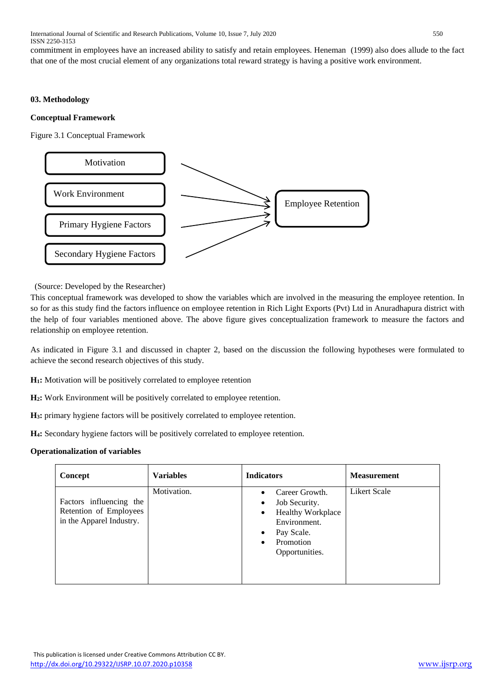commitment in employees have an increased ability to satisfy and retain employees. Heneman (1999) also does allude to the fact that one of the most crucial element of any organizations total reward strategy is having a positive work environment.

## **03. Methodology**

#### **Conceptual Framework**

Figure 3.1 Conceptual Framework



(Source: Developed by the Researcher)

This conceptual framework was developed to show the variables which are involved in the measuring the employee retention. In so for as this study find the factors influence on employee retention in Rich Light Exports (Pvt) Ltd in Anuradhapura district with the help of four variables mentioned above. The above figure gives conceptualization framework to measure the factors and relationship on employee retention.

As indicated in Figure 3.1 and discussed in chapter 2, based on the discussion the following hypotheses were formulated to achieve the second research objectives of this study.

**H1:** Motivation will be positively correlated to employee retention

**H2:** Work Environment will be positively correlated to employee retention.

**H3:** primary hygiene factors will be positively correlated to employee retention.

**H4:** Secondary hygiene factors will be positively correlated to employee retention.

# **Operationalization of variables**

| Concept                                                                       | <b>Variables</b> | <b>Indicators</b>                                                                                                                                                            | <b>Measurement</b>  |
|-------------------------------------------------------------------------------|------------------|------------------------------------------------------------------------------------------------------------------------------------------------------------------------------|---------------------|
| Factors influencing the<br>Retention of Employees<br>in the Apparel Industry. | Motivation.      | Career Growth.<br>Job Security.<br>$\bullet$<br><b>Healthy Workplace</b><br>$\bullet$<br>Environment.<br>Pay Scale.<br>$\bullet$<br>Promotion<br>$\bullet$<br>Opportunities. | <b>Likert Scale</b> |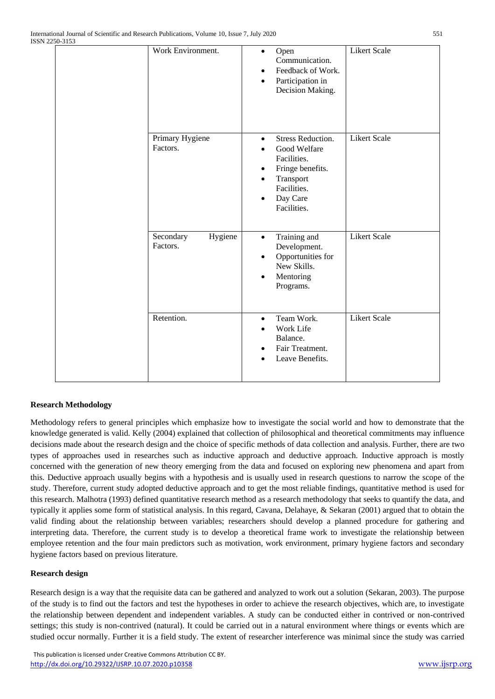| Work Environment.                | Open<br>$\bullet$<br>Communication.<br>Feedback of Work.<br>Participation in<br>٠<br>Decision Making.                              | <b>Likert Scale</b> |
|----------------------------------|------------------------------------------------------------------------------------------------------------------------------------|---------------------|
| Primary Hygiene<br>Factors.      | <b>Stress Reduction.</b><br>Good Welfare<br>Facilities.<br>Fringe benefits.<br>Transport<br>Facilities.<br>Day Care<br>Facilities. | <b>Likert Scale</b> |
| Secondary<br>Hygiene<br>Factors. | Training and<br>$\bullet$<br>Development.<br>Opportunities for<br>٠<br>New Skills.<br>Mentoring<br>٠<br>Programs.                  | <b>Likert Scale</b> |
| Retention.                       | Team Work.<br>$\bullet$<br>Work Life<br>Balance.<br>Fair Treatment.<br>Leave Benefits.                                             | <b>Likert Scale</b> |

# **Research Methodology**

Methodology refers to general principles which emphasize how to investigate the social world and how to demonstrate that the knowledge generated is valid. Kelly (2004) explained that collection of philosophical and theoretical commitments may influence decisions made about the research design and the choice of specific methods of data collection and analysis. Further, there are two types of approaches used in researches such as inductive approach and deductive approach. Inductive approach is mostly concerned with the generation of new theory emerging from the data and focused on exploring new phenomena and apart from this. Deductive approach usually begins with a hypothesis and is usually used in research questions to narrow the scope of the study. Therefore, current study adopted deductive approach and to get the most reliable findings, quantitative method is used for this research. Malhotra (1993) defined quantitative research method as a research methodology that seeks to quantify the data, and typically it applies some form of statistical analysis. In this regard, Cavana, Delahaye, & Sekaran (2001) argued that to obtain the valid finding about the relationship between variables; researchers should develop a planned procedure for gathering and interpreting data. Therefore, the current study is to develop a theoretical frame work to investigate the relationship between employee retention and the four main predictors such as motivation, work environment, primary hygiene factors and secondary hygiene factors based on previous literature.

# **Research design**

Research design is a way that the requisite data can be gathered and analyzed to work out a solution (Sekaran, 2003). The purpose of the study is to find out the factors and test the hypotheses in order to achieve the research objectives, which are, to investigate the relationship between dependent and independent variables. A study can be conducted either in contrived or non-contrived settings; this study is non-contrived (natural). It could be carried out in a natural environment where things or events which are studied occur normally. Further it is a field study. The extent of researcher interference was minimal since the study was carried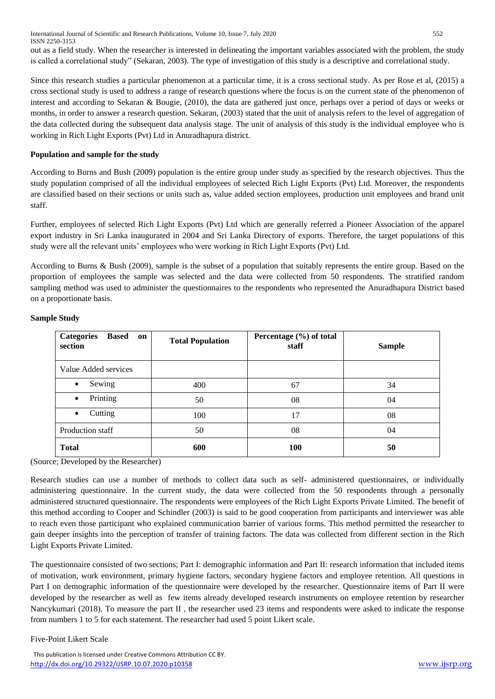International Journal of Scientific and Research Publications, Volume 10, Issue 7, July 2020 552 ISSN 2250-3153 out as a field study. When the researcher is interested in delineating the important variables associated with the problem, the study is called a correlational study" (Sekaran, 2003). The type of investigation of this study is a descriptive and correlational study.

Since this research studies a particular phenomenon at a particular time, it is a cross sectional study. As per Rose et al, (2015) a cross sectional study is used to address a range of research questions where the focus is on the current state of the phenomenon of interest and according to Sekaran & Bougie, (2010), the data are gathered just once, perhaps over a period of days or weeks or months, in order to answer a research question. Sekaran, (2003) stated that the unit of analysis refers to the level of aggregation of the data collected during the subsequent data analysis stage. The unit of analysis of this study is the individual employee who is working in Rich Light Exports (Pvt) Ltd in Anuradhapura district.

#### **Population and sample for the study**

According to Burns and Bush (2009) population is the entire group under study as specified by the research objectives. Thus the study population comprised of all the individual employees of selected Rich Light Exports (Pvt) Ltd. Moreover, the respondents are classified based on their sections or units such as, value added section employees, production unit employees and brand unit staff.

Further, employees of selected Rich Light Exports (Pvt) Ltd which are generally referred a Pioneer Association of the apparel export industry in Sri Lanka inaugurated in 2004 and Sri Lanka Directory of exports. Therefore, the target populations of this study were all the relevant units' employees who were working in Rich Light Exports (Pvt) Ltd.

According to Burns & Bush (2009), sample is the subset of a population that suitably represents the entire group. Based on the proportion of employees the sample was selected and the data were collected from 50 respondents. The stratified random sampling method was used to administer the questionnaires to the respondents who represented the Anuradhapura District based on a proportionate basis.

| <b>Categories</b><br><b>Based</b><br>on<br>section | <b>Total Population</b> | Percentage (%) of total<br>staff | <b>Sample</b> |
|----------------------------------------------------|-------------------------|----------------------------------|---------------|
| Value Added services                               |                         |                                  |               |
| Sewing<br>$\bullet$                                | 400                     | 67                               | 34            |
| Printing<br>$\bullet$                              | 50                      | 08                               | 04            |
| Cutting<br>$\bullet$                               | 100                     | 17                               | 08            |
| Production staff                                   | 50                      | 08                               | 04            |
| <b>Total</b>                                       | 600                     | <b>100</b>                       | 50            |

#### **Sample Study**

(Source; Developed by the Researcher)

Research studies can use a number of methods to collect data such as self- administered questionnaires, or individually administering questionnaire. In the current study, the data were collected from the 50 respondents through a personally administered structured questionnaire. The respondents were employees of the Rich Light Exports Private Limited. The benefit of this method according to Cooper and Schindler (2003) is said to be good cooperation from participants and interviewer was able to reach even those participant who explained communication barrier of various forms. This method permitted the researcher to gain deeper insights into the perception of transfer of training factors. The data was collected from different section in the Rich Light Exports Private Limited.

The questionnaire consisted of two sections; Part I: demographic information and Part II: research information that included items of motivation, work environment, primary hygiene factors, secondary hygiene factors and employee retention. All questions in Part I on demographic information of the questionnaire were developed by the researcher. Questionnaire items of Part II were developed by the researcher as well as few items already developed research instruments on employee retention by researcher Nancykumari (2018). To measure the part II, the researcher used 23 items and respondents were asked to indicate the response from numbers 1 to 5 for each statement. The researcher had used 5 point Likert scale.

#### Five-Point Likert Scale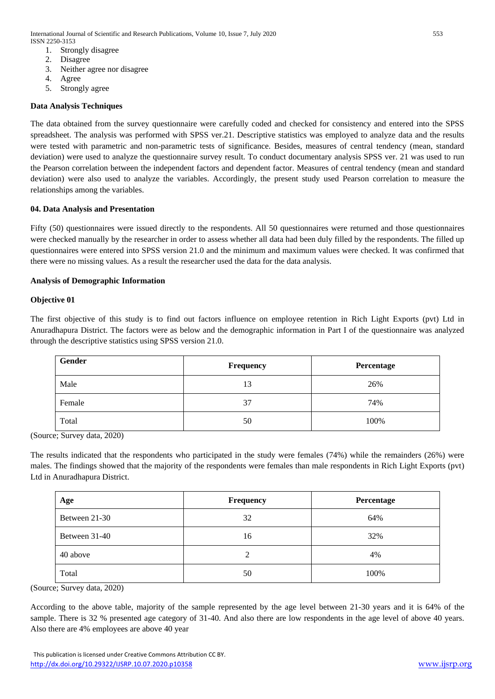- 1. Strongly disagree
- 2. Disagree
- 3. Neither agree nor disagree
- 4. Agree
- 5. Strongly agree

# **Data Analysis Techniques**

The data obtained from the survey questionnaire were carefully coded and checked for consistency and entered into the SPSS spreadsheet. The analysis was performed with SPSS ver.21. Descriptive statistics was employed to analyze data and the results were tested with parametric and non-parametric tests of significance. Besides, measures of central tendency (mean, standard deviation) were used to analyze the questionnaire survey result. To conduct documentary analysis SPSS ver. 21 was used to run the Pearson correlation between the independent factors and dependent factor. Measures of central tendency (mean and standard deviation) were also used to analyze the variables. Accordingly, the present study used Pearson correlation to measure the relationships among the variables.

## **04. Data Analysis and Presentation**

Fifty (50) questionnaires were issued directly to the respondents. All 50 questionnaires were returned and those questionnaires were checked manually by the researcher in order to assess whether all data had been duly filled by the respondents. The filled up questionnaires were entered into SPSS version 21.0 and the minimum and maximum values were checked. It was confirmed that there were no missing values. As a result the researcher used the data for the data analysis.

## **Analysis of Demographic Information**

## **Objective 01**

The first objective of this study is to find out factors influence on employee retention in Rich Light Exports (pvt) Ltd in Anuradhapura District. The factors were as below and the demographic information in Part I of the questionnaire was analyzed through the descriptive statistics using SPSS version 21.0.

| Gender | Frequency | Percentage |
|--------|-----------|------------|
| Male   | 13        | 26%        |
| Female | 37        | 74%        |
| Total  | 50        | 100%       |

(Source; Survey data, 2020)

The results indicated that the respondents who participated in the study were females (74%) while the remainders (26%) were males. The findings showed that the majority of the respondents were females than male respondents in Rich Light Exports (pvt) Ltd in Anuradhapura District.

| Age           | Frequency | Percentage |
|---------------|-----------|------------|
| Between 21-30 | 32        | 64%        |
| Between 31-40 | 16        | 32%        |
| 40 above      | 2         | 4%         |
| Total         | 50        | 100%       |

(Source; Survey data, 2020)

According to the above table, majority of the sample represented by the age level between 21-30 years and it is 64% of the sample. There is 32 % presented age category of 31-40. And also there are low respondents in the age level of above 40 years. Also there are 4% employees are above 40 year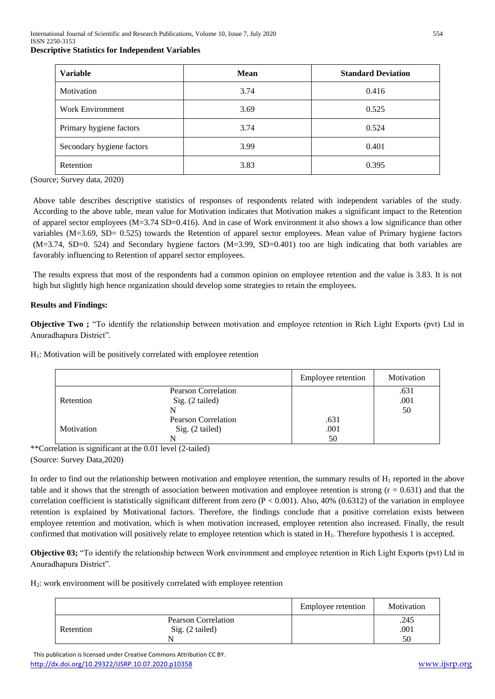#### **Descriptive Statistics for Independent Variables**

| <b>Variable</b>           | <b>Mean</b> | <b>Standard Deviation</b> |
|---------------------------|-------------|---------------------------|
| Motivation                | 3.74        | 0.416                     |
| <b>Work Environment</b>   | 3.69        | 0.525                     |
| Primary hygiene factors   | 3.74        | 0.524                     |
| Secondary hygiene factors | 3.99        | 0.401                     |
| Retention                 | 3.83        | 0.395                     |

(Source; Survey data, 2020)

Above table describes descriptive statistics of responses of respondents related with independent variables of the study. According to the above table, mean value for Motivation indicates that Motivation makes a significant impact to the Retention of apparel sector employees (M=3.74 SD=0.416). And in case of Work environment it also shows a low significance than other variables (M=3.69, SD= 0.525) towards the Retention of apparel sector employees. Mean value of Primary hygiene factors (M=3.74, SD=0. 524) and Secondary hygiene factors (M=3.99, SD=0.401) too are high indicating that both variables are favorably influencing to Retention of apparel sector employees.

The results express that most of the respondents had a common opinion on employee retention and the value is 3.83. It is not high but slightly high hence organization should develop some strategies to retain the employees.

## **Results and Findings:**

**Objective Two**: "To identify the relationship between motivation and employee retention in Rich Light Exports (pvt) Ltd in Anuradhapura District".

 $H<sub>1</sub>$ : Motivation will be positively correlated with employee retention

|            |                            | Employee retention | Motivation |
|------------|----------------------------|--------------------|------------|
|            | <b>Pearson Correlation</b> |                    | .631       |
| Retention  | Sig. (2 tailed)            |                    | .001       |
|            |                            |                    | 50         |
|            | Pearson Correlation        | .631               |            |
| Motivation | Sig. (2 tailed)            | .001               |            |
|            |                            | 50                 |            |

\*\*Correlation is significant at the 0.01 level (2-tailed) (Source: Survey Data,2020)

In order to find out the relationship between motivation and employee retention, the summary results of  $H_1$  reported in the above table and it shows that the strength of association between motivation and employee retention is strong  $(r = 0.631)$  and that the correlation coefficient is statistically significant different from zero  $(P < 0.001)$ . Also, 40% (0.6312) of the variation in employee retention is explained by Motivational factors. Therefore, the findings conclude that a positive correlation exists between employee retention and motivation, which is when motivation increased, employee retention also increased. Finally, the result confirmed that motivation will positively relate to employee retention which is stated in H<sub>1</sub>. Therefore hypothesis 1 is accepted.

**Objective 03;** "To identify the relationship between Work environment and employee retention in Rich Light Exports (pvt) Ltd in Anuradhapura District".

H2: work environment will be positively correlated with employee retention

|           |                            | Employee retention | Motivation |
|-----------|----------------------------|--------------------|------------|
|           | <b>Pearson Correlation</b> |                    | .245       |
| Retention | Sig. (2 tailed)            |                    | .001       |
|           |                            |                    | 50         |

 This publication is licensed under Creative Commons Attribution CC BY. <http://dx.doi.org/10.29322/IJSRP.10.07.2020.p10358> [www.ijsrp.org](http://ijsrp.org/)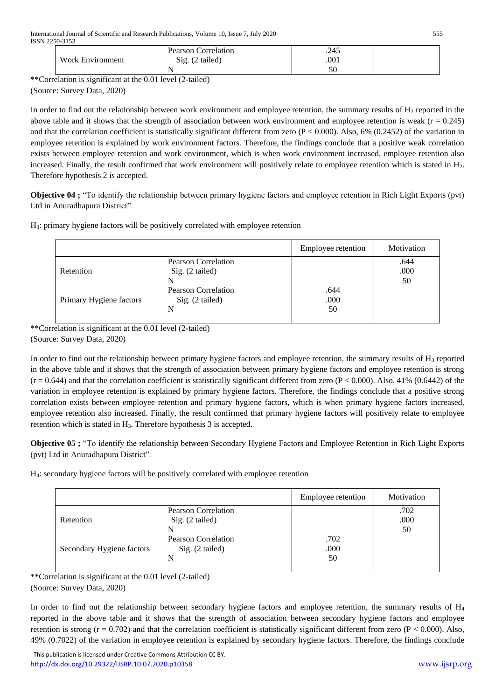|                  | <b>Pearson Correlation</b>   | .245     |  |
|------------------|------------------------------|----------|--|
| Work Environment | Sig.<br>$(2 \text{ tailed})$ | .001     |  |
|                  |                              | cΩ<br>υc |  |

\*\*Correlation is significant at the 0.01 level (2-tailed)

(Source: Survey Data, 2020)

In order to find out the relationship between work environment and employee retention, the summary results of  $H_2$  reported in the above table and it shows that the strength of association between work environment and employee retention is weak  $(r = 0.245)$ and that the correlation coefficient is statistically significant different from zero  $(P < 0.000)$ . Also, 6%  $(0.2452)$  of the variation in employee retention is explained by work environment factors. Therefore, the findings conclude that a positive weak correlation exists between employee retention and work environment, which is when work environment increased, employee retention also increased. Finally, the result confirmed that work environment will positively relate to employee retention which is stated in H<sub>2</sub>. Therefore hypothesis 2 is accepted.

**Objective 04 ;** "To identify the relationship between primary hygiene factors and employee retention in Rich Light Exports (pvt) Ltd in Anuradhapura District".

H3: primary hygiene factors will be positively correlated with employee retention

|                         |                                                    | Employee retention | Motivation         |
|-------------------------|----------------------------------------------------|--------------------|--------------------|
| Retention               | Pearson Correlation<br>Sig. (2 tailed)<br>N        |                    | .644<br>.000<br>50 |
| Primary Hygiene factors | <b>Pearson Correlation</b><br>Sig. (2 tailed)<br>N | .644<br>.000<br>50 |                    |

\*\*Correlation is significant at the 0.01 level (2-tailed) (Source: Survey Data, 2020)

In order to find out the relationship between primary hygiene factors and employee retention, the summary results of  $H_3$  reported in the above table and it shows that the strength of association between primary hygiene factors and employee retention is strong  $(r = 0.644)$  and that the correlation coefficient is statistically significant different from zero (P < 0.000). Also, 41% (0.6442) of the variation in employee retention is explained by primary hygiene factors. Therefore, the findings conclude that a positive strong correlation exists between employee retention and primary hygiene factors, which is when primary hygiene factors increased, employee retention also increased. Finally, the result confirmed that primary hygiene factors will positively relate to employee retention which is stated in H3. Therefore hypothesis 3 is accepted.

**Objective 05 ;** "To identify the relationship between Secondary Hygiene Factors and Employee Retention in Rich Light Exports (pvt) Ltd in Anuradhapura District".

H4: secondary hygiene factors will be positively correlated with employee retention

|                           |                                             | Employee retention | Motivation         |
|---------------------------|---------------------------------------------|--------------------|--------------------|
| Retention                 | Pearson Correlation<br>Sig. (2 tailed)      |                    | .702<br>.000<br>50 |
| Secondary Hygiene factors | Pearson Correlation<br>Sig. (2 tailed)<br>N | .702<br>.000<br>50 |                    |

\*\*Correlation is significant at the 0.01 level (2-tailed)

(Source: Survey Data, 2020)

In order to find out the relationship between secondary hygiene factors and employee retention, the summary results of  $H_4$ reported in the above table and it shows that the strength of association between secondary hygiene factors and employee retention is strong  $(r = 0.702)$  and that the correlation coefficient is statistically significant different from zero  $(P < 0.000)$ . Also, 49% (0.7022) of the variation in employee retention is explained by secondary hygiene factors. Therefore, the findings conclude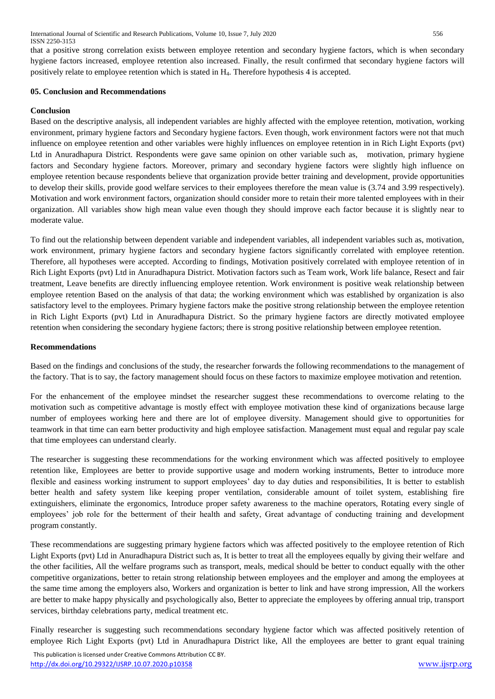that a positive strong correlation exists between employee retention and secondary hygiene factors, which is when secondary hygiene factors increased, employee retention also increased. Finally, the result confirmed that secondary hygiene factors will positively relate to employee retention which is stated in H4. Therefore hypothesis 4 is accepted.

## **05. Conclusion and Recommendations**

## **Conclusion**

Based on the descriptive analysis, all independent variables are highly affected with the employee retention, motivation, working environment, primary hygiene factors and Secondary hygiene factors. Even though, work environment factors were not that much influence on employee retention and other variables were highly influences on employee retention in in Rich Light Exports (pvt) Ltd in Anuradhapura District. Respondents were gave same opinion on other variable such as, motivation, primary hygiene factors and Secondary hygiene factors. Moreover, primary and secondary hygiene factors were slightly high influence on employee retention because respondents believe that organization provide better training and development, provide opportunities to develop their skills, provide good welfare services to their employees therefore the mean value is (3.74 and 3.99 respectively). Motivation and work environment factors, organization should consider more to retain their more talented employees with in their organization. All variables show high mean value even though they should improve each factor because it is slightly near to moderate value.

To find out the relationship between dependent variable and independent variables, all independent variables such as, motivation, work environment, primary hygiene factors and secondary hygiene factors significantly correlated with employee retention. Therefore, all hypotheses were accepted. According to findings, Motivation positively correlated with employee retention of in Rich Light Exports (pvt) Ltd in Anuradhapura District. Motivation factors such as Team work, Work life balance, Resect and fair treatment, Leave benefits are directly influencing employee retention. Work environment is positive weak relationship between employee retention Based on the analysis of that data; the working environment which was established by organization is also satisfactory level to the employees. Primary hygiene factors make the positive strong relationship between the employee retention in Rich Light Exports (pvt) Ltd in Anuradhapura District. So the primary hygiene factors are directly motivated employee retention when considering the secondary hygiene factors; there is strong positive relationship between employee retention.

#### **Recommendations**

Based on the findings and conclusions of the study, the researcher forwards the following recommendations to the management of the factory. That is to say, the factory management should focus on these factors to maximize employee motivation and retention.

For the enhancement of the employee mindset the researcher suggest these recommendations to overcome relating to the motivation such as competitive advantage is mostly effect with employee motivation these kind of organizations because large number of employees working here and there are lot of employee diversity. Management should give to opportunities for teamwork in that time can earn better productivity and high employee satisfaction. Management must equal and regular pay scale that time employees can understand clearly.

The researcher is suggesting these recommendations for the working environment which was affected positively to employee retention like, Employees are better to provide supportive usage and modern working instruments, Better to introduce more flexible and easiness working instrument to support employees' day to day duties and responsibilities, It is better to establish better health and safety system like keeping proper ventilation, considerable amount of toilet system, establishing fire extinguishers, eliminate the ergonomics, Introduce proper safety awareness to the machine operators, Rotating every single of employees' job role for the betterment of their health and safety, Great advantage of conducting training and development program constantly.

These recommendations are suggesting primary hygiene factors which was affected positively to the employee retention of Rich Light Exports (pvt) Ltd in Anuradhapura District such as, It is better to treat all the employees equally by giving their welfare and the other facilities, All the welfare programs such as transport, meals, medical should be better to conduct equally with the other competitive organizations, better to retain strong relationship between employees and the employer and among the employees at the same time among the employers also, Workers and organization is better to link and have strong impression, All the workers are better to make happy physically and psychologically also, Better to appreciate the employees by offering annual trip, transport services, birthday celebrations party, medical treatment etc.

Finally researcher is suggesting such recommendations secondary hygiene factor which was affected positively retention of employee Rich Light Exports (pvt) Ltd in Anuradhapura District like, All the employees are better to grant equal training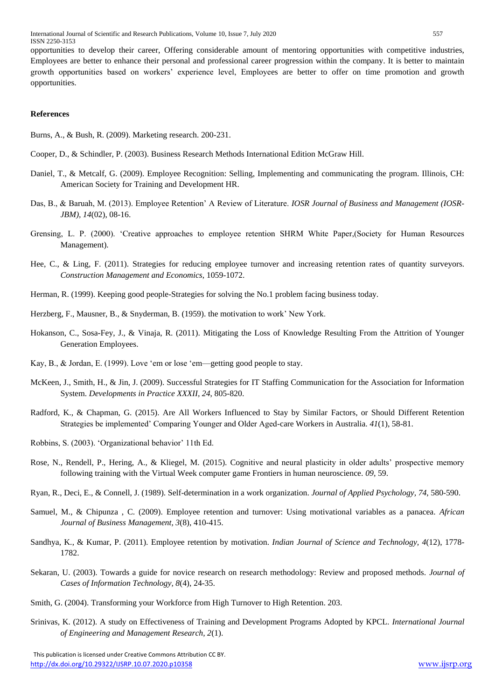opportunities to develop their career, Offering considerable amount of mentoring opportunities with competitive industries, Employees are better to enhance their personal and professional career progression within the company. It is better to maintain growth opportunities based on workers' experience level, Employees are better to offer on time promotion and growth opportunities.

## **References**

Burns, A., & Bush, R. (2009). Marketing research. 200-231.

- Cooper, D., & Schindler, P. (2003). Business Research Methods International Edition McGraw Hill.
- Daniel, T., & Metcalf, G. (2009). Employee Recognition: Selling, Implementing and communicating the program. Illinois, CH: American Society for Training and Development HR.
- Das, B., & Baruah, M. (2013). Employee Retention' A Review of Literature. *IOSR Journal of Business and Management (IOSR-JBM), 14*(02), 08-16.
- Grensing, L. P. (2000). 'Creative approaches to employee retention SHRM White Paper,(Society for Human Resources Management).
- Hee, C., & Ling, F. (2011). Strategies for reducing employee turnover and increasing retention rates of quantity surveyors. *Construction Management and Economics*, 1059-1072.
- Herman, R. (1999). Keeping good people-Strategies for solving the No.1 problem facing business today.
- Herzberg, F., Mausner, B., & Snyderman, B. (1959). the motivation to work' New York.
- Hokanson, C., Sosa-Fey, J., & Vinaja, R. (2011). Mitigating the Loss of Knowledge Resulting From the Attrition of Younger Generation Employees.
- Kay, B., & Jordan, E. (1999). Love 'em or lose 'em—getting good people to stay.
- McKeen, J., Smith, H., & Jin, J. (2009). Successful Strategies for IT Staffing Communication for the Association for Information System. *Developments in Practice XXXII, 24*, 805-820.
- Radford, K., & Chapman, G. (2015). Are All Workers Influenced to Stay by Similar Factors, or Should Different Retention Strategies be implemented' Comparing Younger and Older Aged-care Workers in Australia. *41*(1), 58-81.
- Robbins, S. (2003). 'Organizational behavior' 11th Ed.
- Rose, N., Rendell, P., Hering, A., & Kliegel, M. (2015). Cognitive and neural plasticity in older adults' prospective memory following training with the Virtual Week computer game Frontiers in human neuroscience. *09*, 59.
- Ryan, R., Deci, E., & Connell, J. (1989). Self-determination in a work organization. *Journal of Applied Psychology, 74*, 580-590.
- Samuel, M., & Chipunza , C. (2009). Employee retention and turnover: Using motivational variables as a panacea. *African Journal of Business Management, 3*(8), 410-415.
- Sandhya, K., & Kumar, P. (2011). Employee retention by motivation. *Indian Journal of Science and Technology, 4*(12), 1778- 1782.
- Sekaran, U. (2003). Towards a guide for novice research on research methodology: Review and proposed methods. *Journal of Cases of Information Technology, 8*(4), 24-35.
- Smith, G. (2004). Transforming your Workforce from High Turnover to High Retention. 203.
- Srinivas, K. (2012). A study on Effectiveness of Training and Development Programs Adopted by KPCL. *International Journal of Engineering and Management Research, 2*(1).